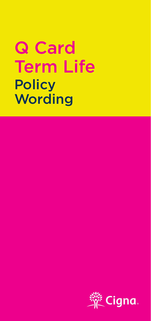# Q Card Term Life **Policy Wording**

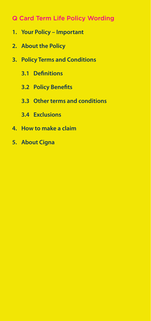# Q Card Term Life Policy Wording

- **1. Your Policy Important**
- **2. About the Policy**
- **3. Policy Terms and Conditions**
	- **3.1 Definitions**
	- **3.2 Policy Benefits**
	- **3.3 Other terms and conditions**
	- **3.4 Exclusions**
- **4. How to make a claim**
- **5. About Cigna**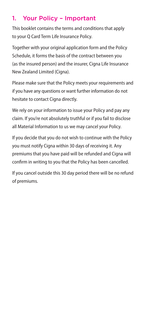# 1. Your Policy – Important

This booklet contains the terms and conditions that apply to your Q Card Term Life Insurance Policy.

Together with your original application form and the Policy Schedule, it forms the basis of the contract between you (as the insured person) and the insurer, Cigna Life Insurance New Zealand Limited (Cigna).

Please make sure that the Policy meets your requirements and if you have any questions or want further information do not hesitate to contact Cigna directly.

We rely on your information to issue your Policy and pay any claim. If you're not absolutely truthful or if you fail to disclose all Material Information to us we may cancel your Policy.

If you decide that you do not wish to continue with the Policy you must notify Cigna within 30 days of receiving it. Any premiums that you have paid will be refunded and Cigna will confirm in writing to you that the Policy has been cancelled.

If you cancel outside this 30 day period there will be no refund of premiums.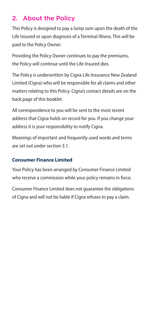# 2. About the Policy

This Policy is designed to pay a lump sum upon the death of the Life Insured or upon diagnosis of a Terminal Illness. This will be paid to the Policy Owner.

Providing the Policy Owner continues to pay the premiums, the Policy will continue until the Life Insured dies.

The Policy is underwritten by Cigna Life Insurance New Zealand Limited (Cigna) who will be responsible for all claims and other matters relating to this Policy. Cigna's contact details are on the back page of this booklet.

All correspondence to you will be sent to the most recent address that Cigna holds on record for you. If you change your address it is your responsibility to notify Cigna.

Meanings of important and frequently used words and terms are set out under section 3.1.

#### **Consumer Finance Limited**

Your Policy has been arranged by Consumer Finance Limited who receive a commission while your policy remains in force.

Consumer Finance Limited does not guarantee the obligations of Cigna and will not be liable if Cigna refuses to pay a claim.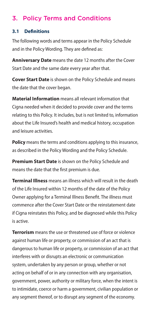# 3. Policy Terms and Conditions

#### **3.1 Definitions**

The following words and terms appear in the Policy Schedule and in the Policy Wording. They are defined as:

**Anniversary Date** means the date 12 months after the Cover Start Date and the same date every year after that.

**Cover Start Date** is shown on the Policy Schedule and means the date that the cover began.

**Material Information** means all relevant information that Cigna needed when it decided to provide cover and the terms relating to this Policy. It includes, but is not limited to, information about the Life Insured's health and medical history, occupation and leisure activities.

**Policy** means the terms and conditions applying to this insurance, as described in the Policy Wording and the Policy Schedule.

**Premium Start Date** is shown on the Policy Schedule and means the date that the first premium is due.

**Terminal Illness** means an illness which will result in the death of the Life Insured within 12 months of the date of the Policy Owner applying for a Terminal Illness Benefit. The illness must commence after the Cover Start Date or the reinstatement date if Cigna reinstates this Policy, and be diagnosed while this Policy is active.

**Terrorism** means the use or threatened use of force or violence against human life or property, or commission of an act that is dangerous to human life or property, or commission of an act that interferes with or disrupts an electronic or communication system, undertaken by any person or group, whether or not acting on behalf of or in any connection with any organisation, government, power, authority or military force, when the intent is to intimidate, coerce or harm a government, civilian population or any segment thereof, or to disrupt any segment of the economy.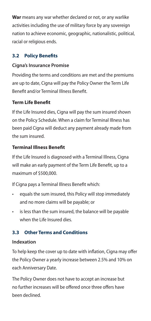**War** means any war whether declared or not, or any warlike activities including the use of military force by any sovereign nation to achieve economic, geographic, nationalistic, political, racial or religious ends.

# **3.2 Policy Benefits**

## **Cigna's Insurance Promise**

Providing the terms and conditions are met and the premiums are up to date, Cigna will pay the Policy Owner the Term Life Benefit and/or Terminal Illness Benefit.

## **Term Life Benefit**

If the Life Insured dies, Cigna will pay the sum insured shown on the Policy Schedule. When a claim for Terminal Illness has been paid Cigna will deduct any payment already made from the sum insured.

# **Terminal Illness Benefit**

If the Life Insured is diagnosed with a Terminal Illness, Cigna will make an early payment of the Term Life Benefit, up to a maximum of \$500,000.

If Cigna pays a Terminal Illness Benefit which:

- equals the sum insured, this Policy will stop immediately and no more claims will be payable; or
- is less than the sum insured, the balance will be payable when the Life Insured dies.

# **3.3 Other Terms and Conditions**

## **Indexation**

To help keep the cover up to date with inflation, Cigna may offer the Policy Owner a yearly increase between 2.5% and 10% on each Anniversary Date.

The Policy Owner does not have to accept an increase but no further increases will be offered once three offers have been declined.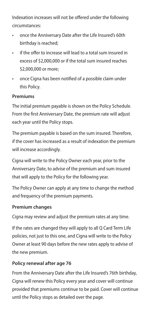Indexation increases will not be offered under the following circumstances:

- once the Anniversary Date after the Life Insured's 60th birthday is reached;
- if the offer to increase will lead to a total sum insured in excess of \$2,000,000 or if the total sum insured reaches \$2,000,000 or more;
- once Cigna has been notified of a possible claim under this Policy.

#### **Premiums**

The initial premium payable is shown on the Policy Schedule. From the first Anniversary Date, the premium rate will adjust each year until the Policy stops.

The premium payable is based on the sum insured. Therefore, if the cover has increased as a result of indexation the premium will increase accordingly.

Cigna will write to the Policy Owner each year, prior to the Anniversary Date, to advise of the premium and sum insured that will apply to the Policy for the following year.

The Policy Owner can apply at any time to change the method and frequency of the premium payments.

#### **Premium changes**

Cigna may review and adjust the premium rates at any time.

If the rates are changed they will apply to all Q Card Term Life policies, not just to this one, and Cigna will write to the Policy Owner at least 90 days before the new rates apply to advise of the new premium.

#### **Policy renewal after age 76**

From the Anniversary Date after the Life Insured's 76th birthday, Cigna will renew this Policy every year and cover will continue provided that premiums continue to be paid. Cover will continue until the Policy stops as detailed over the page.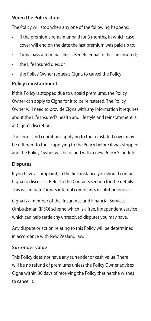#### **When the Policy stops**

The Policy will stop when any one of the following happens:

- if the premiums remain unpaid for 3 months, in which case cover will end on the date the last premium was paid up to;
- Cigna pays a Terminal Illness Benefit equal to the sum insured;
- the Life Insured dies; or
- the Policy Owner requests Cigna to cancel the Policy

### **Policy reinstatement**

If this Policy is stopped due to unpaid premiums, the Policy Owner can apply to Cigna for it to be reinstated. The Policy Owner will need to provide Cigna with any information it requires about the Life Insured's health and lifestyle and reinstatement is at Cigna's discretion.

The terms and conditions applying to the reinstated cover may be different to those applying to the Policy before it was stopped and the Policy Owner will be issued with a new Policy Schedule.

#### **Disputes**

If you have a complaint, in the first instance you should contact Cigna to discuss it. Refer to the Contacts section for the details. This will initiate Cigna's internal complaints resolution process.

Cigna is a member of the Insurance and Financial Services Ombudsman (IFSO) scheme which is a free, independent service which can help settle any unresolved disputes you may have.

Any dispute or action relating to this Policy will be determined in accordance with New Zealand law.

## **Surrender value**

This Policy does not have any surrender or cash value. There will be no refund of premiums unless the Policy Owner advises Cigna within 30 days of receiving the Policy that he/she wishes to cancel it.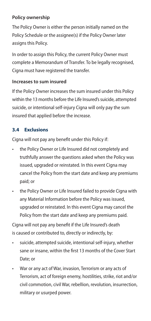#### **Policy ownership**

The Policy Owner is either the person initially named on the Policy Schedule or the assignee(s) if the Policy Owner later assigns this Policy.

In order to assign this Policy, the current Policy Owner must complete a Memorandum of Transfer. To be legally recognised, Cigna must have registered the transfer.

#### **Increases to sum insured**

If the Policy Owner increases the sum insured under this Policy within the 13 months before the Life Insured's suicide, attempted suicide, or intentional self-injury Cigna will only pay the sum insured that applied before the increase.

## **3.4 Exclusions**

Cigna will not pay any benefit under this Policy if:

- the Policy Owner or Life Insured did not completely and truthfully answer the questions asked when the Policy was issued, upgraded or reinstated. In this event Cigna may cancel the Policy from the start date and keep any premiums paid; or
- the Policy Owner or Life Insured failed to provide Cigna with any Material Information before the Policy was issued, upgraded or reinstated. In this event Cigna may cancel the Policy from the start date and keep any premiums paid.

Cigna will not pay any benefit if the Life Insured's death is caused or contributed to, directly or indirectly, by:

- suicide, attempted suicide, intentional self-injury, whether sane or insane, within the first 13 months of the Cover Start Date; or
- War or any act of War, invasion, Terrorism or any acts of Terrorism, act of foreign enemy, hostilities, strike, riot and/or civil commotion, civil War, rebellion, revolution, insurrection, military or usurped power.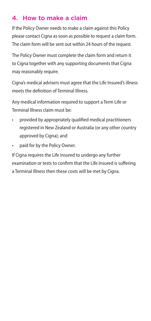# 4. How to make a claim

If the Policy Owner needs to make a claim against this Policy please contact Cigna as soon as possible to request a claim form. The claim form will be sent out within 24 hours of the request.

The Policy Owner must complete the claim form and return it to Cigna together with any supporting documents that Cigna may reasonably require.

Cigna's medical advisers must agree that the Life Insured's illness meets the definition of Terminal Illness.

Any medical information required to support a Term Life or Terminal Illness claim must be:

- provided by appropriately qualified medical practitioners registered in New Zealand or Australia (or any other country approved by Cigna); and
- paid for by the Policy Owner.

If Cigna requires the Life Insured to undergo any further examination or tests to confirm that the Life Insured is suffering a Terminal Illness then these costs will be met by Cigna.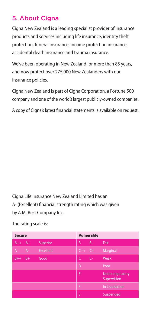# 5. About Cigna

Cigna New Zealand is a leading specialist provider of insurance products and services including life insurance, identity theft protection, funeral insurance, income protection insurance, accidental death insurance and trauma insurance.

We've been operating in New Zealand for more than 85 years, and now protect over 275,000 New Zealanders with our insurance policies.

Cigna New Zealand is part of Cigna Corporation, a Fortune 500 company and one of the world's largest publicly-owned companies.

A copy of Cigna's latest financial statements is available on request.

Cigna Life Insurance New Zealand Limited has an A- (Excellent) financial strength rating which was given by A.M. Best Company Inc.

| <b>Secure</b> |                  | Vulnerable          |                                        |
|---------------|------------------|---------------------|----------------------------------------|
| $A+$<br>$A++$ | <b>Superior</b>  | <b>B-</b><br>B      | Fair                                   |
| $A -$<br>A    | <b>Excellent</b> | $C++$<br>$-C+$      | Marginal                               |
| $B++$<br>$B+$ | Good             | $\epsilon$<br>$C -$ | Weak                                   |
|               |                  | D,                  | Poor                                   |
|               |                  | Έ                   | <b>Under regulatory</b><br>Supervision |
|               |                  | F                   | In Liquidation                         |
|               |                  | ls.                 | Suspended                              |

The rating scale is: